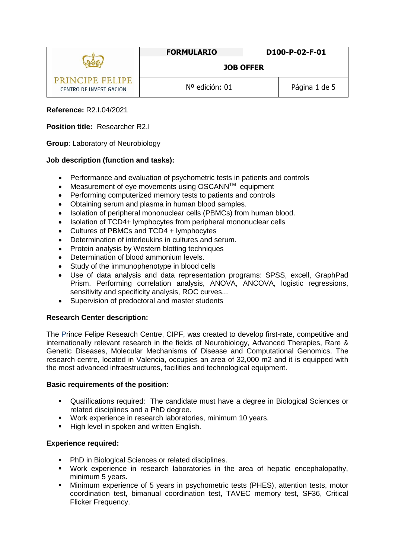|                                                   | <b>FORMULARIO</b> | D100-P-02-F-01 |
|---------------------------------------------------|-------------------|----------------|
|                                                   | <b>JOB OFFER</b>  |                |
| <b>PRINCIPE FELIPE</b><br>CENTRO DE INVESTIGACION | Nº edición: 01    | Página 1 de 5  |

## **Reference:** R2.I.04/2021

## **Position title:** Researcher R2.I

**Group**: Laboratory of Neurobiology

#### **Job description (function and tasks):**

- Performance and evaluation of psychometric tests in patients and controls
- Measurement of eve movements using OSCANN<sup>TM</sup> equipment
- Performing computerized memory tests to patients and controls
- Obtaining serum and plasma in human blood samples.
- Isolation of peripheral mononuclear cells (PBMCs) from human blood.
- Isolation of TCD4+ lymphocytes from peripheral mononuclear cells
- Cultures of PBMCs and TCD4 + lymphocytes
- Determination of interleukins in cultures and serum.
- Protein analysis by Western blotting techniques
- Determination of blood ammonium levels.
- Study of the immunophenotype in blood cells
- Use of data analysis and data representation programs: SPSS, excell, GraphPad Prism. Performing correlation analysis, ANOVA, ANCOVA, logistic regressions, sensitivity and specificity analysis, ROC curves...
- Supervision of predoctoral and master students

#### **Research Center description:**

The Prince Felipe Research Centre, CIPF, was created to develop first-rate, competitive and internationally relevant research in the fields of Neurobiology, Advanced Therapies, Rare & Genetic Diseases, Molecular Mechanisms of Disease and Computational Genomics. The research centre, located in Valencia, occupies an area of 32,000 m2 and it is equipped with the most advanced infraestructures, facilities and technological equipment.

#### **Basic requirements of the position:**

- Qualifications required: The candidate must have a degree in Biological Sciences or related disciplines and a PhD degree.
- Work experience in research laboratories, minimum 10 years.
- **High level in spoken and written English.**

#### **Experience required:**

- **PhD** in Biological Sciences or related disciplines.
- Work experience in research laboratories in the area of hepatic encephalopathy, minimum 5 years.
- Minimum experience of 5 years in psychometric tests (PHES), attention tests, motor coordination test, bimanual coordination test, TAVEC memory test, SF36, Critical Flicker Frequency.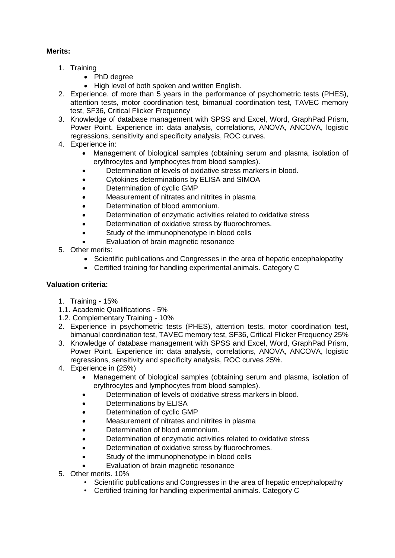# **Merits:**

- 1. Training
	- PhD degree
	- High level of both spoken and written English.
- 2. Experience. of more than 5 years in the performance of psychometric tests (PHES), attention tests, motor coordination test, bimanual coordination test, TAVEC memory test, SF36, Critical Flicker Frequency
- 3. Knowledge of database management with SPSS and Excel, Word, GraphPad Prism, Power Point. Experience in: data analysis, correlations, ANOVA, ANCOVA, logistic regressions, sensitivity and specificity analysis, ROC curves.
- 4. Experience in:
	- Management of biological samples (obtaining serum and plasma, isolation of erythrocytes and lymphocytes from blood samples).
	- Determination of levels of oxidative stress markers in blood.
	- Cytokines determinations by ELISA and SIMOA
	- Determination of cyclic GMP
	- Measurement of nitrates and nitrites in plasma
	- Determination of blood ammonium.
	- Determination of enzymatic activities related to oxidative stress
	- Determination of oxidative stress by fluorochromes.
	- Study of the immunophenotype in blood cells
	- Evaluation of brain magnetic resonance
- 5. Other merits:
	- Scientific publications and Congresses in the area of hepatic encephalopathy
	- Certified training for handling experimental animals. Category C

#### **Valuation criteria:**

- 1. Training 15%
- 1.1. Academic Qualifications 5%
- 1.2. Complementary Training 10%
- 2. Experience in psychometric tests (PHES), attention tests, motor coordination test, bimanual coordination test, TAVEC memory test, SF36, Critical Flicker Frequency 25%
- 3. Knowledge of database management with SPSS and Excel, Word, GraphPad Prism, Power Point. Experience in: data analysis, correlations, ANOVA, ANCOVA, logistic regressions, sensitivity and specificity analysis, ROC curves 25%.
- 4. Experience in (25%)
	- Management of biological samples (obtaining serum and plasma, isolation of erythrocytes and lymphocytes from blood samples).
	- Determination of levels of oxidative stress markers in blood.
	- Determinations by ELISA
	- Determination of cyclic GMP
	- Measurement of nitrates and nitrites in plasma
	- Determination of blood ammonium.
	- Determination of enzymatic activities related to oxidative stress
	- Determination of oxidative stress by fluorochromes.
	- Study of the immunophenotype in blood cells
	- Evaluation of brain magnetic resonance
- 5. Other merits. 10%
	- Scientific publications and Congresses in the area of hepatic encephalopathy
	- Certified training for handling experimental animals. Category C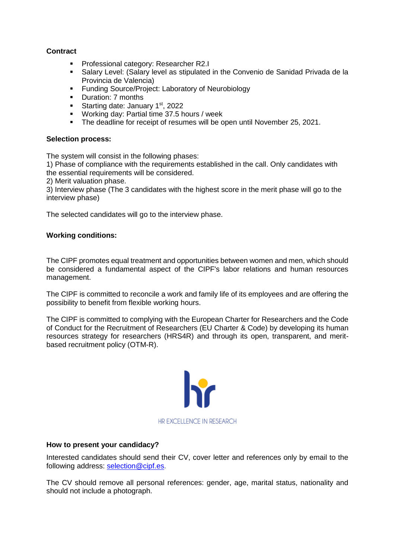## **Contract**

- **Professional category: Researcher R2.I**
- Salary Level: (Salary level as stipulated in the Convenio de Sanidad Privada de la Provincia de Valencia)
- **Funding Source/Project: Laboratory of Neurobiology**
- **Duration: 7 months**
- Starting date: January  $1<sup>st</sup>$ , 2022
- Working day: Partial time 37.5 hours / week
- The deadline for receipt of resumes will be open until November 25, 2021.

#### **Selection process:**

The system will consist in the following phases:

1) Phase of compliance with the requirements established in the call. Only candidates with the essential requirements will be considered.

2) Merit valuation phase.

3) Interview phase (The 3 candidates with the highest score in the merit phase will go to the interview phase)

The selected candidates will go to the interview phase.

#### **Working conditions:**

The CIPF promotes equal treatment and opportunities between women and men, which should be considered a fundamental aspect of the CIPF's labor relations and human resources management.

The CIPF is committed to reconcile a work and family life of its employees and are offering the possibility to benefit from flexible working hours.

The CIPF is committed to complying with the European Charter for Researchers and the Code of Conduct for the Recruitment of Researchers (EU Charter & Code) by developing its human resources strategy for researchers (HRS4R) and through its open, transparent, and meritbased recruitment policy [\(OTM-R\)](https://euraxess.ec.europa.eu/europe/news/new-open-transparent-and-merit-based-recruitment-researchers-otm-r).



#### **How to present your candidacy?**

Interested candidates should send their CV, cover letter and references only by email to the following address: [selection@cipf.es.](mailto:selection@cipf.es)

The CV should remove all personal references: gender, age, marital status, nationality and should not include a photograph.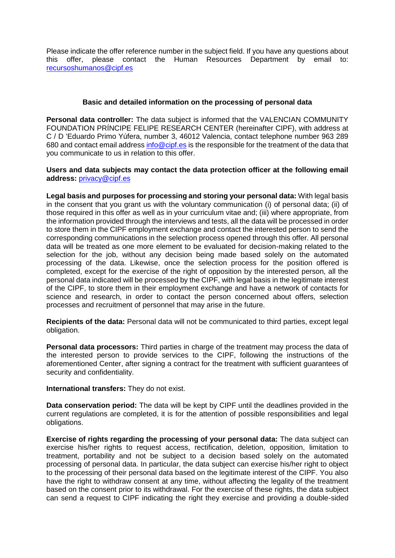Please indicate the offer reference number in the subject field. If you have any questions about this offer, please contact the Human Resources Department by email to: [recursoshumanos@cipf.es](mailto:recursoshumanos@cipf.es)

#### **Basic and detailed information on the processing of personal data**

**Personal data controller:** The data subject is informed that the VALENCIAN COMMUNITY FOUNDATION PRÍNCIPE FELIPE RESEARCH CENTER (hereinafter CIPF), with address at C / D 'Eduardo Primo Yúfera, number 3, 46012 Valencia, contact telephone number 963 289 680 and contact email addres[s info@cipf.es](mailto:info@cipf.es) is the responsible for the treatment of the data that you communicate to us in relation to this offer.

#### **Users and data subjects may contact the data protection officer at the following email address:** [privacy@cipf.es](mailto:privacy@cipf.es)

**Legal basis and purposes for processing and storing your personal data:** With legal basis in the consent that you grant us with the voluntary communication (i) of personal data; (ii) of those required in this offer as well as in your curriculum vitae and; (iii) where appropriate, from the information provided through the interviews and tests, all the data will be processed in order to store them in the CIPF employment exchange and contact the interested person to send the corresponding communications in the selection process opened through this offer. All personal data will be treated as one more element to be evaluated for decision-making related to the selection for the job, without any decision being made based solely on the automated processing of the data. Likewise, once the selection process for the position offered is completed, except for the exercise of the right of opposition by the interested person, all the personal data indicated will be processed by the CIPF, with legal basis in the legitimate interest of the CIPF, to store them in their employment exchange and have a network of contacts for science and research, in order to contact the person concerned about offers, selection processes and recruitment of personnel that may arise in the future.

**Recipients of the data:** Personal data will not be communicated to third parties, except legal obligation.

**Personal data processors:** Third parties in charge of the treatment may process the data of the interested person to provide services to the CIPF, following the instructions of the aforementioned Center, after signing a contract for the treatment with sufficient guarantees of security and confidentiality.

**International transfers:** They do not exist.

**Data conservation period:** The data will be kept by CIPF until the deadlines provided in the current regulations are completed, it is for the attention of possible responsibilities and legal obligations.

**Exercise of rights regarding the processing of your personal data:** The data subject can exercise his/her rights to request access, rectification, deletion, opposition, limitation to treatment, portability and not be subject to a decision based solely on the automated processing of personal data. In particular, the data subject can exercise his/her right to object to the processing of their personal data based on the legitimate interest of the CIPF. You also have the right to withdraw consent at any time, without affecting the legality of the treatment based on the consent prior to its withdrawal. For the exercise of these rights, the data subject can send a request to CIPF indicating the right they exercise and providing a double-sided